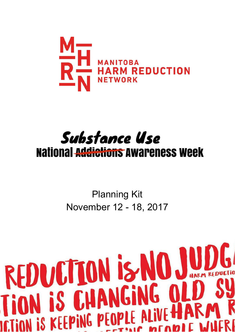

# Substance Use **National Addictions Awareness Week**

Planning Kit November 12 - 18, 2017

# REDUCTION IS NO JUDGE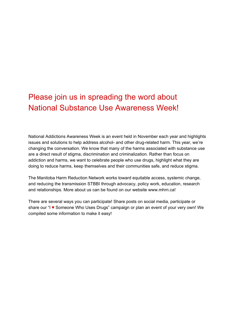# Please join us in spreading the word about National Substance Use Awareness Week!

National Addictions Awareness Week is an event held in November each year and highlights issues and solutions to help address alcohol- and other drug-related harm. This year, we're changing the conversation. We know that many of the harms associated with substance use are a direct result of stigma, discrimination and criminalization. Rather than focus on addiction and harms, we want to celebrate people who use drugs, highlight what they are doing to reduce harms, keep themselves and their communities safe, and reduce stigma.

The Manitoba Harm Reduction Network works toward equitable access, systemic change, and reducing the transmission [STBBI](http://dansmonsac.ca/en/5/hiv/stbbi-basicsx) through advocacy, policy work, education, research and relationships. More about us can be found on our website www.mhrn.ca!

There are several ways you can participate! Share posts on social media, participate or share our "I ♥ Someone Who Uses Drugs" campaign or plan an event of your very own! We compiled some information to make it easy!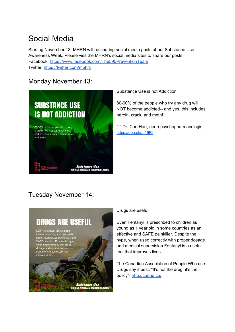# Social Media

Starting November 13, MHRN will be sharing social media posts about Substance Use Awareness Week. Please visit the MHRN's social media sites to share our posts! Facebook: <https://www.facebook.com/The595PreventionTeam> Twitter: <https://twitter.com/mbhrn>

# Monday November 13:



Substance Use is not Addiction

80-90% of the people who try any drug will NOT become addicted-- and yes, this includes heroin, crack, and meth!<sup>1</sup>

[1] Dr. Carl Hart, neuropsychopharmacologist, <https://goo.gl/au16Ri>

# Tuesday November 14:



### Drugs are useful

Even Fentanyl is prescribed to children as young as 1 year old in some countries as an effective and SAFE painkiller. Despite the hype, when used correctly with proper dosage and medical supervision Fentanyl is a useful tool that improves lives.

The Canadian Association of People Who use Drugs say it best: "It's not the drug, it's the policy"- <http://capud.ca/>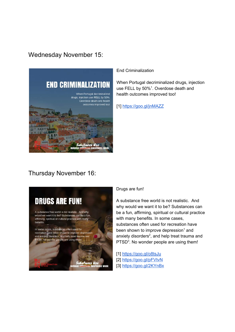## Wednesday November 15:



End Criminalization

When Portugal decriminalized drugs, injection use FELL by  $50\%$ <sup>1</sup>. Overdose death and health outcomes improved too!

[1] <https://goo.gl/jnMAZZ>

## Thursday November 16:



#### Drugs are fun!

A substance free world is not realistic. And why would we want it to be? Substances can be a fun, affirming, spiritual or cultural practice with many benefits. In some cases, substances often used for recreation have been shown to improve depression<sup>1</sup> and anxiety disorders<sup>2</sup>, and help treat trauma and PTSD<sup>3</sup>. No wonder people are using them!

[1] <https://goo.gl/o8tsJu> [2] <https://goo.gl/pFVtvN> [3] <https://goo.gl/2KYnBx>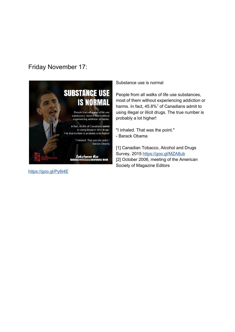# Friday November 17:



<https://goo.gl/Py6t4E>

Substance use is normal

People from all walks of life use substances, most of them without experiencing addiction or harms. In fact,  $45.8\%$ <sup>1</sup> of Canadians admit to using illegal or illicit drugs. The true number is probably a lot higher!

"I inhaled. That was the point." - Barack Obama

[1] Canadian Tobacco, Alcohol and Drugs Survey, 2015 <https://goo.gl/MZA8ub> [2] October 2006, meeting of the American Society of Magazine Editors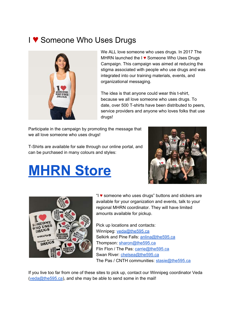# I ♥ Someone Who Uses Drugs



We ALL love someone who uses drugs. In 2017 The MHRN launched the I ♥ Someone Who Uses Drugs Campaign. This campaign was aimed at reducing the stigma associated with people who use drugs and was integrated into our training materials, events, and organizational messaging.

The idea is that anyone could wear this t-shirt, because we all love someone who uses drugs. To date, over 500 T-shirts have been distributed to peers, service providers and anyone who loves folks that use drugs!

Participate in the campaign by promoting the message that we all love someone who uses drugs!

T-Shirts are available for sale through our online portal, and can be purchased in many colours and styles:

# **[MHRN](https://www.zazzle.ca/mhrn_595?rf=238415412553898257&tc=100) Store**





"I ♥ someone who uses drugs" buttons and stickers are available for your organization and events, talk to your regional MHRN coordinator. They will have limited amounts available for pickup.

Pick up locations and contacts: Winnipeg: [veda@the595.ca](mailto:veda@the595.ca) Selkirk and Pine Falls: [anlina@the595.ca](mailto:anlina@the595.ca) Thompson: [sharon@the595.ca](mailto:sharon@the595.ca) Flin Flon / The Pas: [carrie@the595.ca](mailto:carrie@the595.ca) Swan River: [chelsea@the595.ca](mailto:chelsea@the595.ca) The Pas / CNTH communities: [stasie@the595.ca](mailto:stasie@the595.ca)

If you live too far from one of these sites to pick up, contact our Winnipeg coordinator Veda ([veda@the595.ca](mailto:veda@the595.ca)), and she may be able to send some in the mail!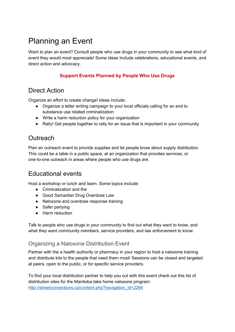# Planning an Event

Want to plan an event? Consult people who use drugs in your community to see what kind of event they would most appreciate! Some ideas Include celebrations, educational events, and direct action and advocacy.

## **Support Events Planned by People Who Use Drugs**

# Direct Action

Organize an effort to create change! Ideas include:

- Organize a letter writing campaign to your local officials calling for an end to substance use related criminalization
- Write a harm reduction policy for your organization
- Rally! Get people together to rally for an issue that is important in your community

# **Outreach**

Plan an outreach event to provide supplies and let people know about supply distribution. This could be a table in a public space, at an organization that provides services, or one-to-one outreach in areas where people who use drugs are.

## Educational events

Host a workshop or lunch and learn. Some topics include:

- Criminalization and the
- Good Samaritan Drug Overdose Law
- Naloxone and overdose response training
- Safer partying
- Harm reduction

Talk to people who use drugs in your community to find out what they want to know, and what they want community members, service providers, and law enforcement to know.

## Organizing a Naloxone Distribution Event

Partner with the a health authority or pharmacy in your region to host a naloxone training and distribute kits to the people that need them most! Sessions can be closed and targeted at peers, open to the public, or for specific service providers.

To find your local distribution partner to help you out with this event check out this list of distribution sites for the Manitoba take home naloxone program: [http://streetconnections.ca/content.php?navigation\\_id=2294](http://streetconnections.ca/content.php?navigation_id=2294)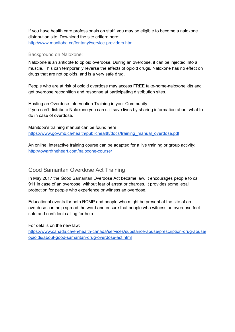If you have health care professionals on staff, you may be eligible to become a naloxone distribution site. Download the site critiera here: <http://www.manitoba.ca/fentanyl/service-providers.html>

#### Background on Naloxone:

Naloxone is an antidote to opioid overdose. During an overdose, it can be injected into a muscle. This can temporarily reverse the effects of opioid drugs. Naloxone has no effect on drugs that are not opioids, and is a very safe drug.

People who are at risk of opioid overdose may access FREE take-home-naloxone kits and get overdose recognition and response at participating distribution sites.

Hosting an Overdose Intervention Training in your Community If you can't distribute Naloxone you can still save lives by sharing information about what to do in case of overdose.

Manitoba's training manual can be found here: [https://www.gov.mb.ca/health/publichealth/docs/training\\_manual\\_overdose.pdf](https://www.gov.mb.ca/health/publichealth/docs/training_manual_overdose.pdf)

An online, interactive training course can be adapted for a live training or group activity: <http://towardtheheart.com/naloxone-course/>

## Good Samaritan Overdose Act Training

In May 2017 the Good Samaritan Overdose Act became law. It encourages people to call 911 in case of an overdose, without fear of arrest or charges. It provides some legal protection for people who experience or witness an overdose.

Educational events for both RCMP and people who might be present at the site of an overdose can help spread the word and ensure that people who witness an overdose feel safe and confident calling for help.

For details on the new law:

[https://www.canada.ca/en/health-canada/services/substance-abuse/prescription-drug-abuse/](https://www.canada.ca/en/health-canada/services/substance-abuse/prescription-drug-abuse/opioids/about-good-samaritan-drug-overdose-act.html) [opioids/about-good-samaritan-drug-overdose-act.html](https://www.canada.ca/en/health-canada/services/substance-abuse/prescription-drug-abuse/opioids/about-good-samaritan-drug-overdose-act.html)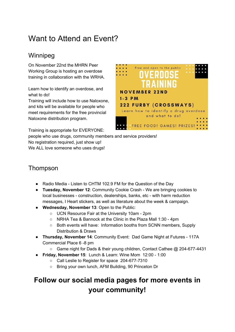# Want to Attend an Event?

# Winnipeg

On November 22nd the MHRN Peer Working Group is hosting an overdose training in collaboration with the WRHA.

Learn how to identify an overdose, and what to do!

Training will include how to use Naloxone, and kits will be available for people who meet requirements for the free provincial Naloxone distribution program.

Training is appropriate for EVERYONE:

Free and open to the public **NOVEMBER 22ND**  $1 - 3$  PM **222 FURBY (CROSSWAYS)** Learn how to identify a drug overdose and what to do! **FREE FOOD! GAMES! PRIZES!** 

people who use drugs, community members and service providers! No registration required, just show up! We ALL love someone who uses drugs!

# Thompson

- Radio Media Listen to CHTM 102.9 FM for the Question of the Day
- **Tuesday, November 12**: Community Cookie Crash We are bringing cookies to local businesses - construction, dealerships, banks, etc - with harm reduction messages, I Heart stickers, as well as literature about the week & campaign.
- **Wednesday, November 13**: Open to the Public:
	- UCN Resource Fair at the University 10am 2pm
	- NRHA Tea & Bannock at the Clinic in the Plaza Mall 1:30 4pm
	- Both events will have: Information booths from SCNN members, Supply Distribution & Draws
- **Thursday, November 14**: Community Event: Dad Game Night at Futures 117A Commercial Place 6 -8 pm
	- Game night for Dads & their young children, Contact Cathee @ 204-677-4431
- **Friday, November 15**: Lunch & Learn: Wine Mom 12:00 1:00
	- Call Leslie to Register for space 204-677-7310
	- Bring your own lunch, AFM Building, 90 Princeton Dr

# **Follow our social media pages for more events in your community!**